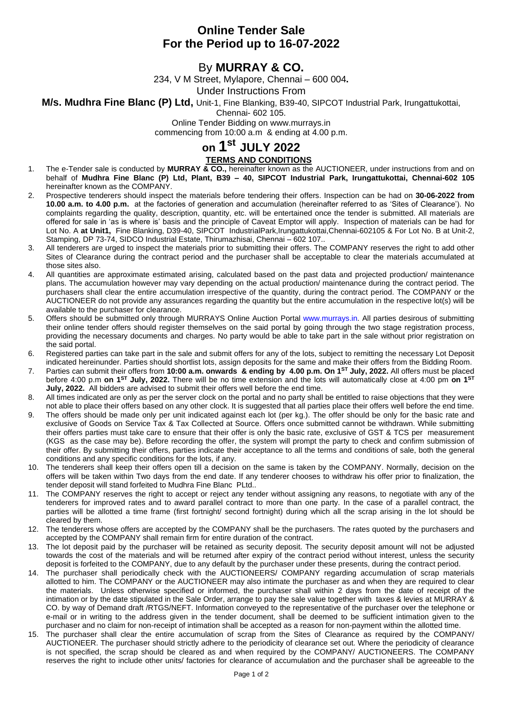## **Online Tender Sale For the Period up to 16-07-2022**

# By **MURRAY & CO.**

234, V M Street, Mylapore, Chennai – 600 004**.**

Under Instructions From

### **M/s. Mudhra Fine Blanc (P) Ltd,** Unit-1, Fine Blanking, B39-40, SIPCOT Industrial Park, Irungattukottai,

Chennai- 602 105.

Online Tender Bidding on www.murrays.in

commencing from 10:00 a.m & ending at 4.00 p.m.

# **on 1 st JULY 2022**

## **TERMS AND CONDITIONS**

- 1. The e-Tender sale is conducted by **MURRAY & CO.,** hereinafter known as the AUCTIONEER, under instructions from and on behalf of **Mudhra Fine Blanc (P) Ltd, Plant, B39 – 40, SIPCOT Industrial Park, Irungattukottai, Chennai-602 105**  hereinafter known as the COMPANY.
- 2. Prospective tenderers should inspect the materials before tendering their offers. Inspection can be had on **30-06-2022 from 10.00 a.m. to 4.00 p.m.** at the factories of generation and accumulation (hereinafter referred to as 'Sites of Clearance'). No complaints regarding the quality, description, quantity, etc. will be entertained once the tender is submitted. All materials are offered for sale in 'as is where is' basis and the principle of Caveat Emptor will apply. Inspection of materials can be had for Lot No. A **at Unit1,** Fine Blanking, D39-40, SIPCOT IndustrialPark,Irungattukottai,Chennai-602105 & For Lot No. B at Unit-2, Stamping, DP 73-74, SIDCO Industrial Estate, Thirumazhisai, Chennai – 602 107..
- 3. All tenderers are urged to inspect the materials prior to submitting their offers. The COMPANY reserves the right to add other Sites of Clearance during the contract period and the purchaser shall be acceptable to clear the materials accumulated at those sites also.
- 4. All quantities are approximate estimated arising, calculated based on the past data and projected production/ maintenance plans. The accumulation however may vary depending on the actual production/ maintenance during the contract period. The purchasers shall clear the entire accumulation irrespective of the quantity, during the contract period. The COMPANY or the AUCTIONEER do not provide any assurances regarding the quantity but the entire accumulation in the respective lot(s) will be available to the purchaser for clearance.
- 5. Offers should be submitted only through MURRAYS Online Auction Portal [www.murrays.in.](http://www.murrays.in/) All parties desirous of submitting their online tender offers should register themselves on the said portal by going through the two stage registration process, providing the necessary documents and charges. No party would be able to take part in the sale without prior registration on the said portal.
- 6. Registered parties can take part in the sale and submit offers for any of the lots, subject to remitting the necessary Lot Deposit indicated hereinunder. Parties should shortlist lots, assign deposits for the same and make their offers from the Bidding Room.
- 7. Parties can submit their offers from **10:00 a.m. onwards & ending by 4.00 p.m. On 1 ST July, 2022.** All offers must be placed before 4:00 p.m **on 1 ST July, 2022.** There will be no time extension and the lots will automatically close at 4:00 pm **on 1 ST July, 2022.** All bidders are advised to submit their offers well before the end time.
- 8. All times indicated are only as per the server clock on the portal and no party shall be entitled to raise objections that they were not able to place their offers based on any other clock. It is suggested that all parties place their offers well before the end time.
- 9. The offers should be made only per unit indicated against each lot (per kg.). The offer should be only for the basic rate and exclusive of Goods on Service Tax & Tax Collected at Source. Offers once submitted cannot be withdrawn. While submitting their offers parties must take care to ensure that their offer is only the basic rate, exclusive of GST & TCS per measurement (KGS as the case may be). Before recording the offer, the system will prompt the party to check and confirm submission of their offer. By submitting their offers, parties indicate their acceptance to all the terms and conditions of sale, both the general conditions and any specific conditions for the lots, if any.
- 10. The tenderers shall keep their offers open till a decision on the same is taken by the COMPANY. Normally, decision on the offers will be taken within Two days from the end date. If any tenderer chooses to withdraw his offer prior to finalization, the tender deposit will stand forfeited to Mudhra Fine Blanc PLtd..
- 11. The COMPANY reserves the right to accept or reject any tender without assigning any reasons, to negotiate with any of the tenderers for improved rates and to award parallel contract to more than one party. In the case of a parallel contract, the parties will be allotted a time frame (first fortnight/ second fortnight) during which all the scrap arising in the lot should be cleared by them.
- 12. The tenderers whose offers are accepted by the COMPANY shall be the purchasers. The rates quoted by the purchasers and accepted by the COMPANY shall remain firm for entire duration of the contract.
- 13. The lot deposit paid by the purchaser will be retained as security deposit. The security deposit amount will not be adjusted towards the cost of the materials and will be returned after expiry of the contract period without interest, unless the security deposit is forfeited to the COMPANY, due to any default by the purchaser under these presents, during the contract period.
- 14. The purchaser shall periodically check with the AUCTIONEERS/ COMPANY regarding accumulation of scrap materials allotted to him. The COMPANY or the AUCTIONEER may also intimate the purchaser as and when they are required to clear the materials. Unless otherwise specified or informed, the purchaser shall within 2 days from the date of receipt of the intimation or by the date stipulated in the Sale Order, arrange to pay the sale value together with taxes & levies at MURRAY & CO. by way of Demand draft /RTGS/NEFT. Information conveyed to the representative of the purchaser over the telephone or e-mail or in writing to the address given in the tender document, shall be deemed to be sufficient intimation given to the purchaser and no claim for non-receipt of intimation shall be accepted as a reason for non-payment within the allotted time.
- 15. The purchaser shall clear the entire accumulation of scrap from the Sites of Clearance as required by the COMPANY/ AUCTIONEER. The purchaser should strictly adhere to the periodicity of clearance set out. Where the periodicity of clearance is not specified, the scrap should be cleared as and when required by the COMPANY/ AUCTIONEERS. The COMPANY reserves the right to include other units/ factories for clearance of accumulation and the purchaser shall be agreeable to the